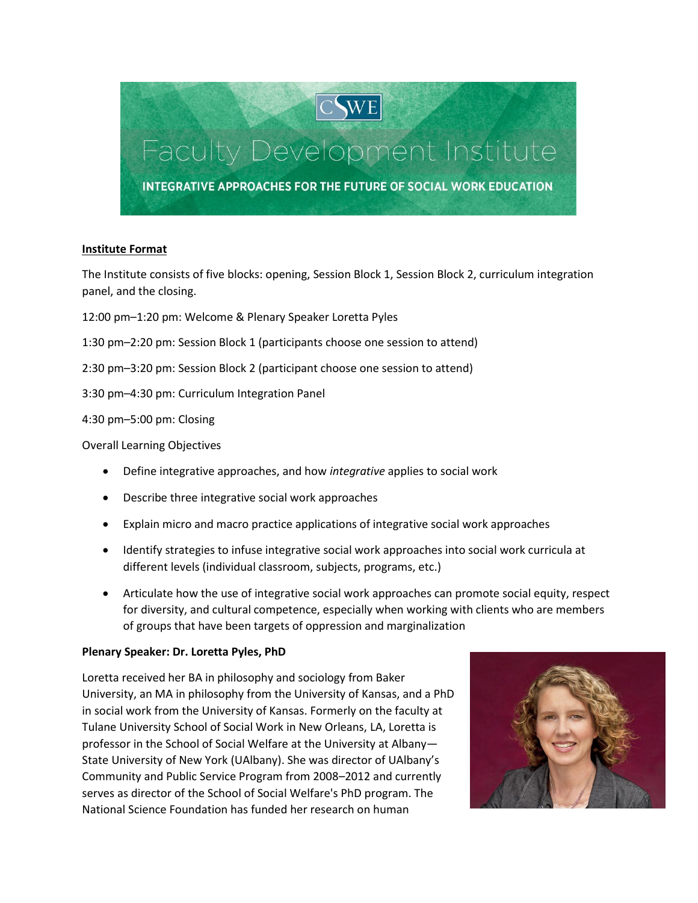

### **Institute Format**

The Institute consists of five blocks: opening, Session Block 1, Session Block 2, curriculum integration panel, and the closing.

- 12:00 pm–1:20 pm: Welcome & Plenary Speaker Loretta Pyles
- 1:30 pm–2:20 pm: Session Block 1 (participants choose one session to attend)
- 2:30 pm–3:20 pm: Session Block 2 (participant choose one session to attend)
- 3:30 pm–4:30 pm: Curriculum Integration Panel
- 4:30 pm–5:00 pm: Closing

### Overall Learning Objectives

- Define integrative approaches, and how *integrative* applies to social work
- Describe three integrative social work approaches
- Explain micro and macro practice applications of integrative social work approaches
- Identify strategies to infuse integrative social work approaches into social work curricula at different levels (individual classroom, subjects, programs, etc.)
- Articulate how the use of integrative social work approaches can promote social equity, respect for diversity, and cultural competence, especially when working with clients who are members of groups that have been targets of oppression and marginalization

### **Plenary Speaker: Dr. Loretta Pyles, PhD**

Loretta received her BA in philosophy and sociology from Baker University, an MA in philosophy from the University of Kansas, and a PhD in social work from the University of Kansas. Formerly on the faculty at Tulane University School of Social Work in New Orleans, LA, Loretta is professor in the School of Social Welfare at the University at Albany— State University of New York (UAlbany). She was director of UAlbany's Community and Public Service Program from 2008–2012 and currently serves as director of the School of Social Welfare's PhD program. The National Science Foundation has funded her research on human

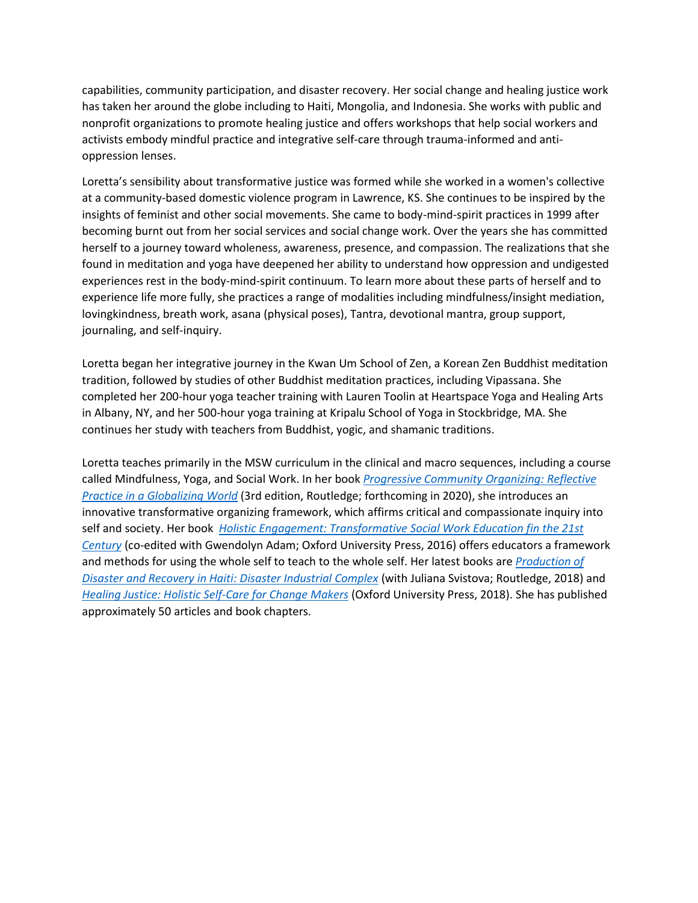capabilities, community participation, and disaster recovery. Her social change and healing justice work has taken her around the globe including to Haiti, Mongolia, and Indonesia. She works with public and nonprofit organizations to promote healing justice and offers workshops that help social workers and activists embody mindful practice and integrative self-care through trauma-informed and antioppression lenses.

Loretta's sensibility about transformative justice was formed while she worked in a women's collective at a community-based domestic violence program in Lawrence, KS. She continues to be inspired by the insights of feminist and other social movements. She came to body-mind-spirit practices in 1999 after becoming burnt out from her social services and social change work. Over the years she has committed herself to a journey toward wholeness, awareness, presence, and compassion. The realizations that she found in meditation and yoga have deepened her ability to understand how oppression and undigested experiences rest in the body-mind-spirit continuum. To learn more about these parts of herself and to experience life more fully, she practices a range of modalities including mindfulness/insight mediation, lovingkindness, breath work, asana (physical poses), Tantra, devotional mantra, group support, journaling, and self-inquiry.

Loretta began her integrative journey in the Kwan Um School of Zen, a Korean Zen Buddhist meditation tradition, followed by studies of other Buddhist meditation practices, including Vipassana. She completed her 200-hour yoga teacher training with Lauren Toolin at Heartspace Yoga and Healing Arts in Albany, NY, and her 500-hour yoga training at Kripalu School of Yoga in Stockbridge, MA. She continues her study with teachers from Buddhist, yogic, and shamanic traditions.

Loretta teaches primarily in the MSW curriculum in the clinical and macro sequences, including a course called Mindfulness, Yoga, and Social Work. In her book *[Progressive Community Organizing: Reflective](http://www.amazon.com/Progressive-Community-Organizing-Reflective-Globalizing/dp/0415538084/ref=sr_1_2?ie=UTF8&qid=1374357881&sr=8-2&keywords=progressive+community+organizing)  [Practice in a Globalizing World](http://www.amazon.com/Progressive-Community-Organizing-Reflective-Globalizing/dp/0415538084/ref=sr_1_2?ie=UTF8&qid=1374357881&sr=8-2&keywords=progressive+community+organizing)* (3rd edition, Routledge; forthcoming in 2020), she introduces an innovative transformative organizing framework, which affirms critical and compassionate inquiry into self and society. Her book *[Holistic Engagement: Transformative Social Work Education fin the 21st](http://www.amazon.com/Holistic-Engagement-Transformative-Education-Century/dp/0199392722/ref=sr_1_1?ie=UTF8&qid=1448734489&sr=8-1&keywords=holistic+engagement)  [Century](http://www.amazon.com/Holistic-Engagement-Transformative-Education-Century/dp/0199392722/ref=sr_1_1?ie=UTF8&qid=1448734489&sr=8-1&keywords=holistic+engagement)* (co-edited with Gwendolyn Adam; Oxford University Press, 2016) offers educators a framework and methods for using the whole self to teach to the whole self. Her latest books are *[Production of](https://www.amazon.com/Production-Disaster-Recovery-Post-Earthquake-Haiti/dp/1138234931/ref=sr_1_1?s=books&ie=UTF8&qid=1514991153&sr=1-1&keywords=juliana+svistova)  Disaster and Recovery [in Haiti: Disaster Industrial Complex](https://www.amazon.com/Production-Disaster-Recovery-Post-Earthquake-Haiti/dp/1138234931/ref=sr_1_1?s=books&ie=UTF8&qid=1514991153&sr=1-1&keywords=juliana+svistova)* (with Juliana Svistova; Routledge, 2018) and *[Healing Justice: Holistic Self-Care for Change Makers](https://lorettapyles.liveeditaurora.com/healing-justice)* (Oxford University Press, 2018). She has published approximately 50 articles and book chapters.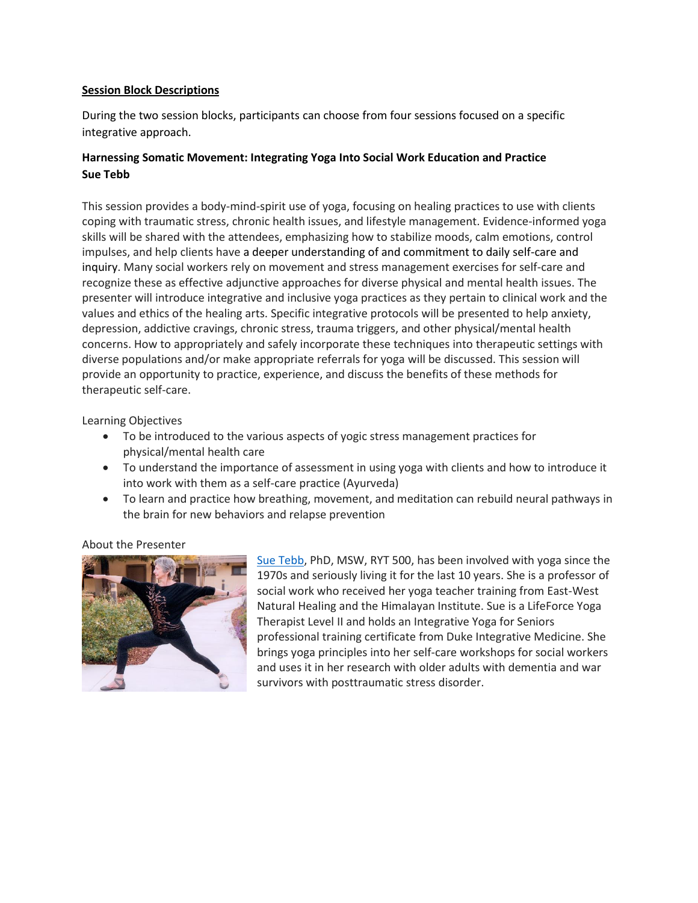### **Session Block Descriptions**

During the two session blocks, participants can choose from four sessions focused on a specific integrative approach.

## **Harnessing Somatic Movement: Integrating Yoga Into Social Work Education and Practice Sue Tebb**

This session provides a body-mind-spirit use of yoga, focusing on healing practices to use with clients coping with traumatic stress, chronic health issues, and lifestyle management. Evidence-informed yoga skills will be shared with the attendees, emphasizing how to stabilize moods, calm emotions, control impulses, and help clients have a deeper understanding of and commitment to daily self-care and inquiry. Many social workers rely on movement and stress management exercises for self-care and recognize these as effective adjunctive approaches for diverse physical and mental health issues. The presenter will introduce integrative and inclusive yoga practices as they pertain to clinical work and the values and ethics of the healing arts. Specific integrative protocols will be presented to help anxiety, depression, addictive cravings, chronic stress, trauma triggers, and other physical/mental health concerns. How to appropriately and safely incorporate these techniques into therapeutic settings with diverse populations and/or make appropriate referrals for yoga will be discussed. This session will provide an opportunity to practice, experience, and discuss the benefits of these methods for therapeutic self-care.

Learning Objectives

- To be introduced to the various aspects of yogic stress management practices for physical/mental health care
- To understand the importance of assessment in using yoga with clients and how to introduce it into work with them as a self-care practice (Ayurveda)
- To learn and practice how breathing, movement, and meditation can rebuild neural pathways in the brain for new behaviors and relapse prevention

### About the Presenter



[Sue Tebb,](https://www.slu.edu/public-health-social-justice/faculty/tebb-susan.php) PhD, MSW, RYT 500, has been involved with yoga since the 1970s and seriously living it for the last 10 years. She is a professor of social work who received her yoga teacher training from East-West Natural Healing and the Himalayan Institute. Sue is a LifeForce Yoga Therapist Level II and holds an Integrative Yoga for Seniors professional training certificate from Duke Integrative Medicine. She brings yoga principles into her self-care workshops for social workers and uses it in her research with older adults with dementia and war survivors with posttraumatic stress disorder.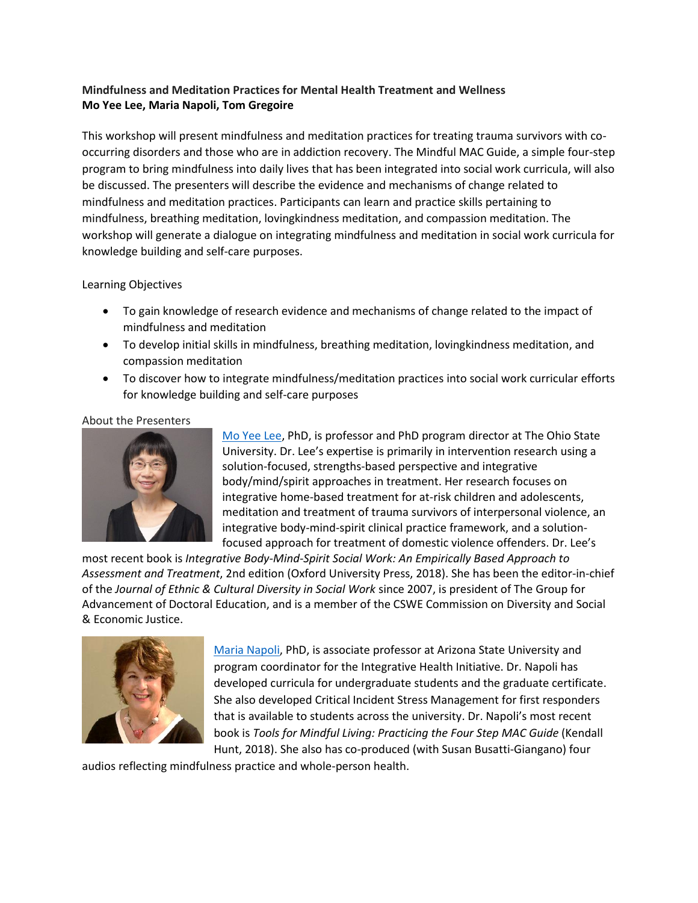# **Mindfulness and Meditation Practices for Mental Health Treatment and Wellness Mo Yee Lee, Maria Napoli, Tom Gregoire**

This workshop will present mindfulness and meditation practices for treating trauma survivors with cooccurring disorders and those who are in addiction recovery. The Mindful MAC Guide, a simple four-step program to bring mindfulness into daily lives that has been integrated into social work curricula, will also be discussed. The presenters will describe the evidence and mechanisms of change related to mindfulness and meditation practices. Participants can learn and practice skills pertaining to mindfulness, breathing meditation, lovingkindness meditation, and compassion meditation. The workshop will generate a dialogue on integrating mindfulness and meditation in social work curricula for knowledge building and self-care purposes.

## Learning Objectives

- To gain knowledge of research evidence and mechanisms of change related to the impact of mindfulness and meditation
- To develop initial skills in mindfulness, breathing meditation, lovingkindness meditation, and compassion meditation
- To discover how to integrate mindfulness/meditation practices into social work curricular efforts for knowledge building and self-care purposes

## About the Presenters



[Mo Yee Lee,](https://csw.osu.edu/about/faculty-staff/faculty-directory/lee-mo-yee-ph-d/) PhD, is professor and PhD program director at The Ohio State University. Dr. Lee's expertise is primarily in intervention research using a solution-focused, strengths-based perspective and integrative body/mind/spirit approaches in treatment. Her research focuses on integrative home-based treatment for at-risk children and adolescents, meditation and treatment of trauma survivors of interpersonal violence, an integrative body-mind-spirit clinical practice framework, and a solutionfocused approach for treatment of domestic violence offenders. Dr. Lee's

most recent book is *Integrative Body-Mind-Spirit Social Work: An Empirically Based Approach to Assessment and Treatment*, 2nd edition (Oxford University Press, 2018). She has been the editor-in-chief of the *Journal of Ethnic & Cultural Diversity in Social Work* since 2007, is president of The Group for Advancement of Doctoral Education, and is a member of the CSWE Commission on Diversity and Social & Economic Justice.



[Maria Napoli,](https://asu.pure.elsevier.com/en/persons/maria-napoli) PhD, is associate professor at Arizona State University and program coordinator for the Integrative Health Initiative. Dr. Napoli has developed curricula for undergraduate students and the graduate certificate. She also developed Critical Incident Stress Management for first responders that is available to students across the university. Dr. Napoli's most recent book is *Tools for Mindful Living: Practicing the Four Step MAC Guide* (Kendall Hunt, 2018). She also has co-produced (with Susan Busatti-Giangano) four

audios reflecting mindfulness practice and whole-person health.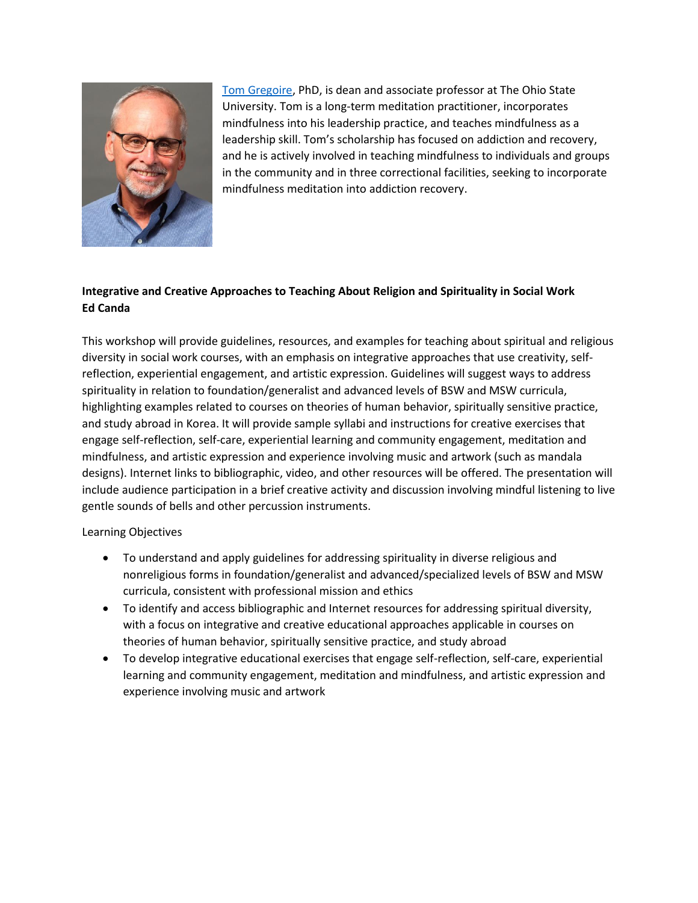

[Tom Gregoire,](https://csw.osu.edu/about/faculty-staff/faculty-directory/gregoire-tom-ph-d/) PhD, is dean and associate professor at The Ohio State University. Tom is a long-term meditation practitioner, incorporates mindfulness into his leadership practice, and teaches mindfulness as a leadership skill. Tom's scholarship has focused on addiction and recovery, and he is actively involved in teaching mindfulness to individuals and groups in the community and in three correctional facilities, seeking to incorporate mindfulness meditation into addiction recovery.

# **Integrative and Creative Approaches to Teaching About Religion and Spirituality in Social Work Ed Canda**

This workshop will provide guidelines, resources, and examples for teaching about spiritual and religious diversity in social work courses, with an emphasis on integrative approaches that use creativity, selfreflection, experiential engagement, and artistic expression. Guidelines will suggest ways to address spirituality in relation to foundation/generalist and advanced levels of BSW and MSW curricula, highlighting examples related to courses on theories of human behavior, spiritually sensitive practice, and study abroad in Korea. It will provide sample syllabi and instructions for creative exercises that engage self-reflection, self-care, experiential learning and community engagement, meditation and mindfulness, and artistic expression and experience involving music and artwork (such as mandala designs). Internet links to bibliographic, video, and other resources will be offered. The presentation will include audience participation in a brief creative activity and discussion involving mindful listening to live gentle sounds of bells and other percussion instruments.

Learning Objectives

- To understand and apply guidelines for addressing spirituality in diverse religious and nonreligious forms in foundation/generalist and advanced/specialized levels of BSW and MSW curricula, consistent with professional mission and ethics
- To identify and access bibliographic and Internet resources for addressing spiritual diversity, with a focus on integrative and creative educational approaches applicable in courses on theories of human behavior, spiritually sensitive practice, and study abroad
- To develop integrative educational exercises that engage self-reflection, self-care, experiential learning and community engagement, meditation and mindfulness, and artistic expression and experience involving music and artwork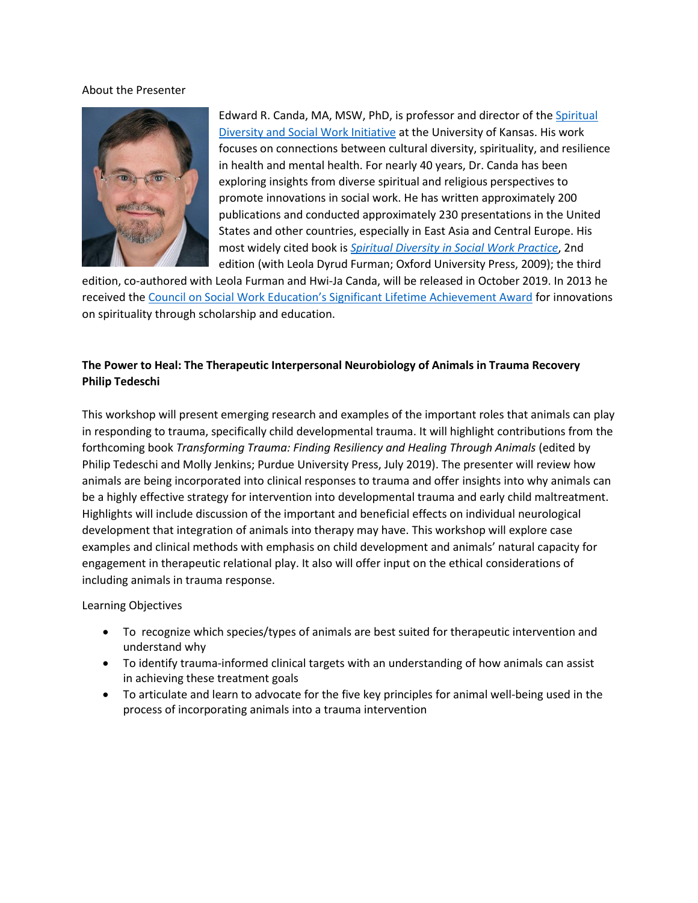#### About the Presenter



Edward R. Canda, MA, MSW, PhD, is professor and director of th[e Spiritual](https://spiritualdiversity.ku.edu/)  [Diversity and Social Work Initiative](https://spiritualdiversity.ku.edu/) at the University of Kansas. His work focuses on connections between cultural diversity, spirituality, and resilience in health and mental health. For nearly 40 years, Dr. Canda has been exploring insights from diverse spiritual and religious perspectives to promote innovations in social work. He has written approximately 200 publications and conducted approximately 230 presentations in the United States and other countries, especially in East Asia and Central Europe. His most widely cited book is *[Spiritual Diversity in Social Work Practice](https://www.amazon.com/Spiritual-Diversity-Social-Work-Practice/dp/0195372794/ref=asc_df_0195372794/?tag=hyprod-20&linkCode=df0&hvadid=312115051380&hvpos=1o1&hvnetw=g&hvrand=17217411295520072382&hvpone=&hvptwo=&hvqmt=&hvdev=c&hvdvcmdl=&hvlocint=&hvlocphy=9008192&hvtargid=pla-571874050718&psc=1)*, 2nd edition (with Leola Dyrud Furman; Oxford University Press, 2009); the third

edition, co-authored with Leola Furman and Hwi-Ja Canda, will be released in October 2019. In 2013 he received the [Council on Social Work Education's Significant Lifetime Achievement Award](https://www.youtube.com/watch?v=pcI1y_BzNN4) for innovations on spirituality through scholarship and education.

## **The Power to Heal: The Therapeutic Interpersonal Neurobiology of Animals in Trauma Recovery Philip Tedeschi**

This workshop will present emerging research and examples of the important roles that animals can play in responding to trauma, specifically child developmental trauma. It will highlight contributions from the forthcoming book *Transforming Trauma: Finding Resiliency and Healing Through Animals* (edited by Philip Tedeschi and Molly Jenkins; Purdue University Press, July 2019). The presenter will review how animals are being incorporated into clinical responses to trauma and offer insights into why animals can be a highly effective strategy for intervention into developmental trauma and early child maltreatment. Highlights will include discussion of the important and beneficial effects on individual neurological development that integration of animals into therapy may have. This workshop will explore case examples and clinical methods with emphasis on child development and animals' natural capacity for engagement in therapeutic relational play. It also will offer input on the ethical considerations of including animals in trauma response.

Learning Objectives

- To recognize which species/types of animals are best suited for therapeutic intervention and understand why
- To identify trauma-informed clinical targets with an understanding of how animals can assist in achieving these treatment goals
- To articulate and learn to advocate for the five key principles for animal well-being used in the process of incorporating animals into a trauma intervention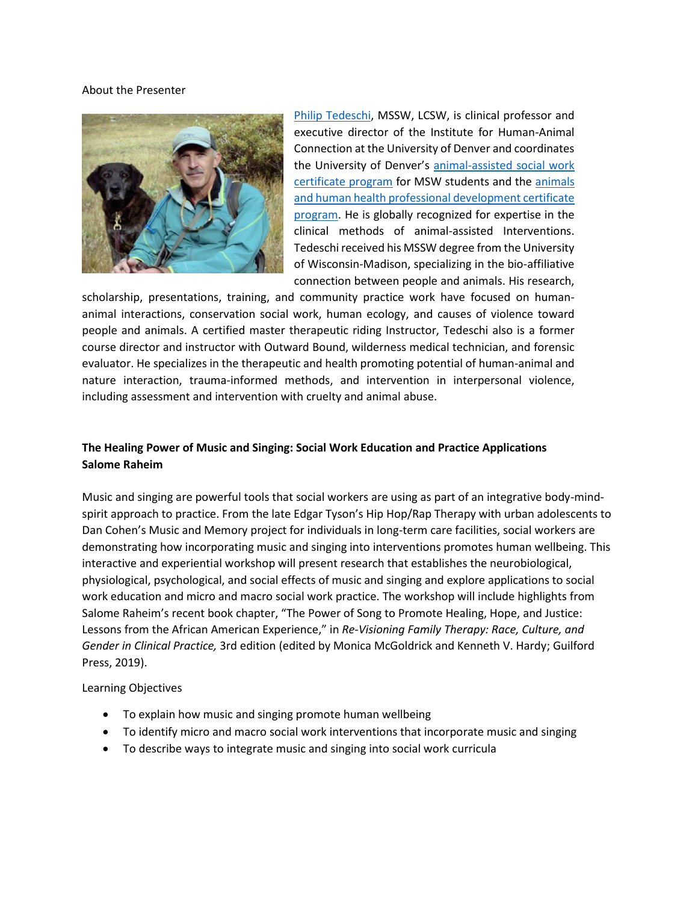#### About the Presenter



[Philip Tedeschi,](https://socialwork.du.edu/about/gssw-directory/philip-tedeschi) MSSW, LCSW, is clinical professor and executive director of the Institute for Human-Animal Connection at the University of Denver and coordinates the University of Denver's [animal-assisted social work](https://socialwork.du.edu/academics/master-social-work-programs/denver-campus-msw/animal-assisted-social-work-certificate)  [certificate program](https://socialwork.du.edu/academics/master-social-work-programs/denver-campus-msw/animal-assisted-social-work-certificate) for MSW students and the animals [and human health professional development certificate](https://www.du.edu/humananimalconnection/programs-education/ahh)  [program.](https://www.du.edu/humananimalconnection/programs-education/ahh) He is globally recognized for expertise in the clinical methods of animal-assisted Interventions. Tedeschi received his MSSW degree from the University of Wisconsin-Madison, specializing in the bio-affiliative connection between people and animals. His research,

scholarship, presentations, training, and community practice work have focused on humananimal interactions, conservation social work, human ecology, and causes of violence toward people and animals. A certified master therapeutic riding Instructor, Tedeschi also is a former course director and instructor with Outward Bound, wilderness medical technician, and forensic evaluator. He specializes in the therapeutic and health promoting potential of human-animal and nature interaction, trauma-informed methods, and intervention in interpersonal violence, including assessment and intervention with cruelty and animal abuse.

## **The Healing Power of Music and Singing: Social Work Education and Practice Applications Salome Raheim**

Music and singing are powerful tools that social workers are using as part of an integrative body-mindspirit approach to practice. From the late Edgar Tyson's Hip Hop/Rap Therapy with urban adolescents to Dan Cohen's Music and Memory project for individuals in long-term care facilities, social workers are demonstrating how incorporating music and singing into interventions promotes human wellbeing. This interactive and experiential workshop will present research that establishes the neurobiological, physiological, psychological, and social effects of music and singing and explore applications to social work education and micro and macro social work practice. The workshop will include highlights from Salome Raheim's recent book chapter, "The Power of Song to Promote Healing, Hope, and Justice: Lessons from the African American Experience," in *Re-Visioning Family Therapy: Race, Culture, and Gender in Clinical Practice,* 3rd edition (edited by Monica McGoldrick and Kenneth V. Hardy; Guilford Press, 2019).

Learning Objectives

- To explain how music and singing promote human wellbeing
- To identify micro and macro social work interventions that incorporate music and singing
- To describe ways to integrate music and singing into social work curricula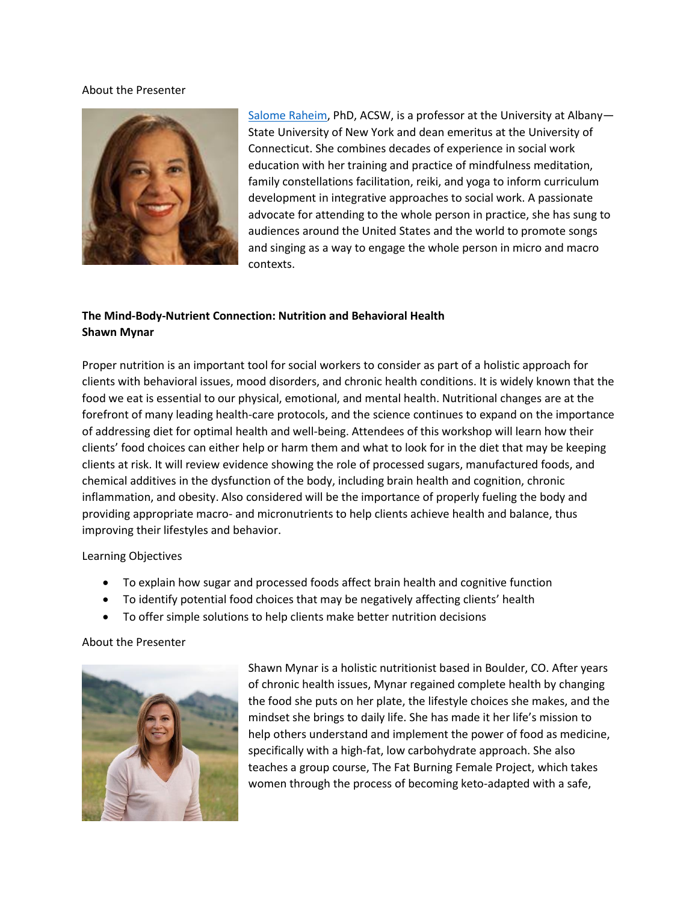#### About the Presenter



[Salome Raheim,](https://www.albany.edu/ssw/76447.php) PhD, ACSW, is a professor at the University at Albany— State University of New York and dean emeritus at the University of Connecticut. She combines decades of experience in social work education with her training and practice of mindfulness meditation, family constellations facilitation, reiki, and yoga to inform curriculum development in integrative approaches to social work. A passionate advocate for attending to the whole person in practice, she has sung to audiences around the United States and the world to promote songs and singing as a way to engage the whole person in micro and macro contexts.

### **The Mind-Body-Nutrient Connection: Nutrition and Behavioral Health Shawn Mynar**

Proper nutrition is an important tool for social workers to consider as part of a holistic approach for clients with behavioral issues, mood disorders, and chronic health conditions. It is widely known that the food we eat is essential to our physical, emotional, and mental health. Nutritional changes are at the forefront of many leading health-care protocols, and the science continues to expand on the importance of addressing diet for optimal health and well-being. Attendees of this workshop will learn how their clients' food choices can either help or harm them and what to look for in the diet that may be keeping clients at risk. It will review evidence showing the role of processed sugars, manufactured foods, and chemical additives in the dysfunction of the body, including brain health and cognition, chronic inflammation, and obesity. Also considered will be the importance of properly fueling the body and providing appropriate macro- and micronutrients to help clients achieve health and balance, thus improving their lifestyles and behavior.

#### Learning Objectives

- To explain how sugar and processed foods affect brain health and cognitive function
- To identify potential food choices that may be negatively affecting clients' health
- To offer simple solutions to help clients make better nutrition decisions

#### About the Presenter



Shawn Mynar is a holistic nutritionist based in Boulder, CO. After years of chronic health issues, Mynar regained complete health by changing the food she puts on her plate, the lifestyle choices she makes, and the mindset she brings to daily life. She has made it her life's mission to help others understand and implement the power of food as medicine, specifically with a high-fat, low carbohydrate approach. She also teaches a group course, The Fat Burning Female Project, which takes women through the process of becoming keto-adapted with a safe,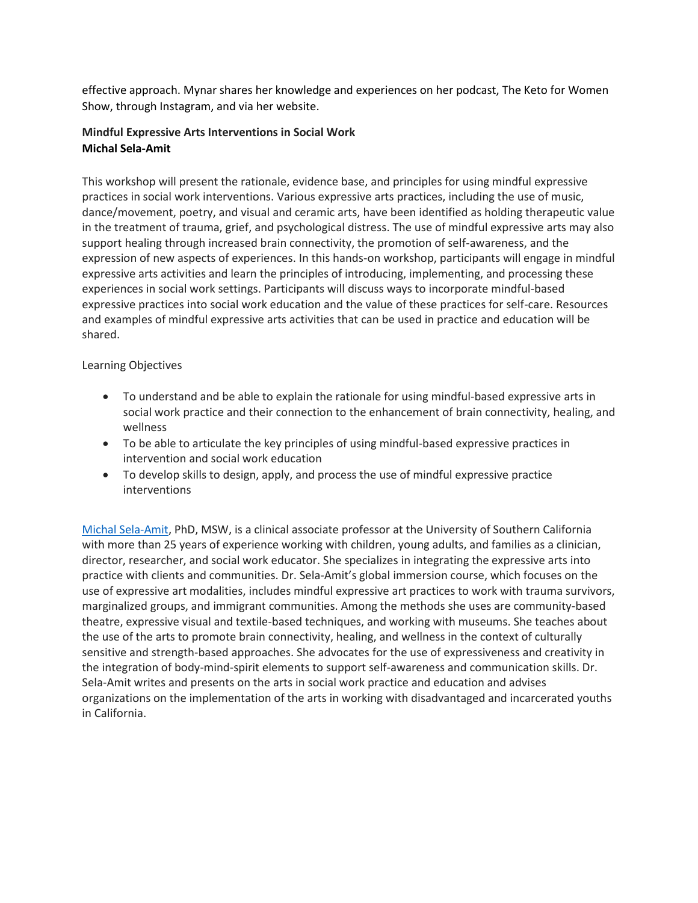effective approach. Mynar shares her knowledge and experiences on her podcast, The Keto for Women Show, through Instagram, and via her website.

# **Mindful Expressive Arts Interventions in Social Work Michal Sela-Amit**

This workshop will present the rationale, evidence base, and principles for using mindful expressive practices in social work interventions. Various expressive arts practices, including the use of music, dance/movement, poetry, and visual and ceramic arts, have been identified as holding therapeutic value in the treatment of trauma, grief, and psychological distress. The use of mindful expressive arts may also support healing through increased brain connectivity, the promotion of self-awareness, and the expression of new aspects of experiences. In this hands-on workshop, participants will engage in mindful expressive arts activities and learn the principles of introducing, implementing, and processing these experiences in social work settings. Participants will discuss ways to incorporate mindful-based expressive practices into social work education and the value of these practices for self-care. Resources and examples of mindful expressive arts activities that can be used in practice and education will be shared.

## Learning Objectives

- To understand and be able to explain the rationale for using mindful-based expressive arts in social work practice and their connection to the enhancement of brain connectivity, healing, and wellness
- To be able to articulate the key principles of using mindful-based expressive practices in intervention and social work education
- To develop skills to design, apply, and process the use of mindful expressive practice interventions

[Michal Sela-Amit,](https://profiles.sc-ctsi.org/michal.sela-amit) PhD, MSW, is a clinical associate professor at the University of Southern California with more than 25 years of experience working with children, young adults, and families as a clinician, director, researcher, and social work educator. She specializes in integrating the expressive arts into practice with clients and communities. Dr. Sela-Amit's global immersion course, which focuses on the use of expressive art modalities, includes mindful expressive art practices to work with trauma survivors, marginalized groups, and immigrant communities. Among the methods she uses are community-based theatre, expressive visual and textile-based techniques, and working with museums. She teaches about the use of the arts to promote brain connectivity, healing, and wellness in the context of culturally sensitive and strength-based approaches. She advocates for the use of expressiveness and creativity in the integration of body-mind-spirit elements to support self-awareness and communication skills. Dr. Sela-Amit writes and presents on the arts in social work practice and education and advises organizations on the implementation of the arts in working with disadvantaged and incarcerated youths in California.